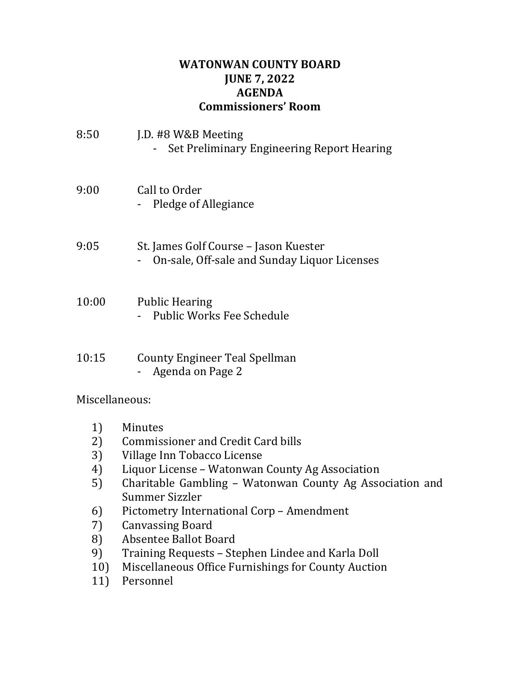## **WATONWAN COUNTY BOARD JUNE 7, 2022 AGENDA Commissioners' Room**

| 8:50  | J.D. #8 W&B Meeting<br>Set Preliminary Engineering Report Hearing                     |
|-------|---------------------------------------------------------------------------------------|
| 9:00  | Call to Order<br>Pledge of Allegiance                                                 |
| 9:05  | St. James Golf Course – Jason Kuester<br>On-sale, Off-sale and Sunday Liquor Licenses |
| 10:00 | <b>Public Hearing</b><br>Public Works Fee Schedule                                    |
| 10:15 | County Engineer Teal Spellman<br>- Agenda on Page 2                                   |

Miscellaneous:

- 1) Minutes
- 2) Commissioner and Credit Card bills
- 3) Village Inn Tobacco License
- 4) Liquor License Watonwan County Ag Association
- 5) Charitable Gambling Watonwan County Ag Association and Summer Sizzler
- 6) Pictometry International Corp Amendment
- 7) Canvassing Board
- 8) Absentee Ballot Board
- 9) Training Requests Stephen Lindee and Karla Doll
- 10) Miscellaneous Office Furnishings for County Auction
- 11) Personnel